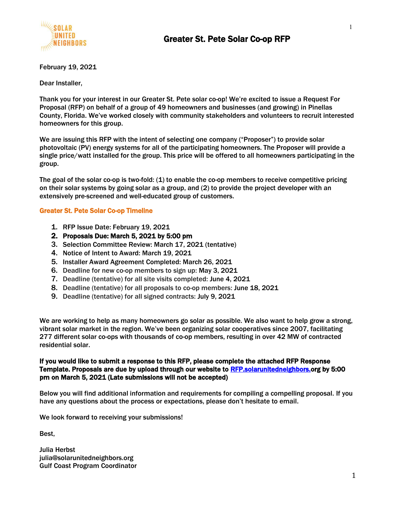

February 19, 2021

Dear Installer,

Thank you for your interest in our Greater St. Pete solar co-op! We're excited to issue a Request For Proposal (RFP) on behalf of a group of 49 homeowners and businesses (and growing) in Pinellas County, Florida. We've worked closely with community stakeholders and volunteers to recruit interested homeowners for this group.

We are issuing this RFP with the intent of selecting one company ("Proposer") to provide solar photovoltaic (PV) energy systems for all of the participating homeowners. The Proposer will provide a single price/watt installed for the group. This price will be offered to all homeowners participating in the group.

The goal of the solar co-op is two-fold: (1) to enable the co-op members to receive competitive pricing on their solar systems by going solar as a group, and (2) to provide the project developer with an extensively pre-screened and well-educated group of customers.

#### Greater St. Pete Solar Co-op Timeline

- 1. RFP Issue Date: February 19, 2021
- 2. Proposals Due: March 5, 2021 by 5:00 pm
- 3. Selection Committee Review: March 17, 2021 (tentative)
- 4. Notice of Intent to Award: March 19, 2021
- 5. Installer Award Agreement Completed: March 26, 2021
- 6. Deadline for new co-op members to sign up: May 3, 2021
- 7. Deadline (tentative) for all site visits completed: June 4, 2021
- 8. Deadline (tentative) for all proposals to co-op members: June 18, 2021
- 9. Deadline (tentative) for all signed contracts: July 9, 2021

We are working to help as many homeowners go solar as possible. We also want to help grow a strong, vibrant solar market in the region. We've been organizing solar cooperatives since 2007, facilitating 277 different solar co-ops with thousands of co-op members, resulting in over 42 MW of contracted residential solar.

#### If you would like to submit a response to this RFP, please complete the attached RFP Response Template. Proposals are due by upload through our website to [RFP.solarunitedneighbors.o](https://rfp.solarunitedneighbors.org/)rg by 5:00 pm on March 5, 2021 (Late submissions will not be accepted)

Below you will find additional information and requirements for compiling a compelling proposal. If you have any questions about the process or expectations, please don't hesitate to email.

We look forward to receiving your submissions!

Best,

Julia Herbst julia@solarunitedneighbors.org Gulf Coast Program Coordinator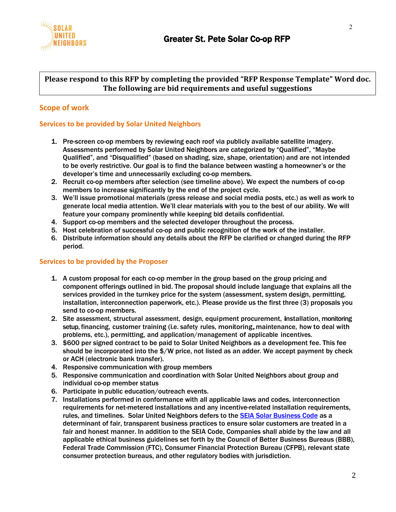

#### **Please respond to this RFP by completing the provided "RFP Response Template" Word doc. The following are bid requirements and useful suggestions**

## **Scope of work**

#### **Services to be provided by Solar United Neighbors**

- 1. Pre-screen co-op members by reviewing each roof via publicly available satellite imagery. Assessments performed by Solar United Neighbors are categorized by "Qualified", "Maybe Qualified", and "Disqualified" (based on shading, size, shape, orientation) and are not intended to be overly restrictive. Our goal is to find the balance between wasting a homeowner's or the developer's time and unnecessarily excluding co-op members.
- 2. Recruit co-op members after selection (see timeline above). We expect the numbers of co-op members to increase significantly by the end of the project cycle.
- 3. We'll issue promotional materials (press release and social media posts, etc.) as well as work to generate local media attention. We'll clear materials with you to the best of our ability. We will feature your company prominently while keeping bid details confidential.
- 4. Support co-op members and the selected developer throughout the process.
- 5. Host celebration of successful co-op and public recognition of the work of the installer.
- 6. Distribute information should any details about the RFP be clarified or changed during the RFP period.

#### **Services to be provided by the Proposer**

- 1. A custom proposal for each co-op member in the group based on the group pricing and component offerings outlined in bid. The proposal should include language that explains all the services provided in the turnkey price for the system (assessment, system design, permitting, installation, interconnection paperwork, etc.). Please provide us the first three (3) proposals you send to co-op members.
- 2. Site assessment, structural assessment, design, equipment procurement, installation, monitoring setup, financing, customer training (i.e. safety rules, monitoring,maintenance, how to deal with problems, etc.), permitting, and application/management of applicable incentives.
- 3. \$600 per signed contract to be paid to Solar United Neighbors as a development fee. This fee should be incorporated into the \$/W price, not listed as an adder. We accept payment by check or ACH (electronic bank transfer).
- 4. Responsive communication with group members
- 5. Responsive communication and coordination with Solar United Neighbors about group and individual co-op member status
- 6. Participate in public education/outreach events.
- 7. Installations performed in conformance with all applicable laws and codes, interconnection requirements for net-metered installations and any incentive-related installation requirements, rules, and timelines. Solar United Neighbors defers to the [SEIA Solar Business Code](http://www.seia.org/policy/consumer-protection/seia-solar-business-code) as a determinant of fair, transparent business practices to ensure solar customers are treated in a fair and honest manner. In addition to the SEIA Code, Companies shall abide by the law and all applicable ethical business guidelines set forth by the Council of Better Business Bureaus (BBB), Federal Trade Commission (FTC), Consumer Financial Protection Bureau (CFPB), relevant state consumer protection bureaus, and other regulatory bodies with jurisdiction.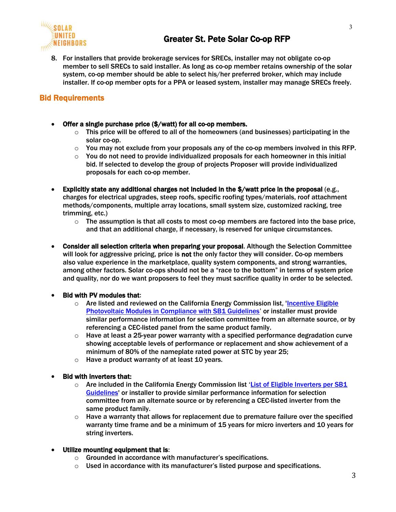

8. For installers that provide brokerage services for SRECs, installer may not obligate co-op member to sell SRECs to said installer. As long as co-op member retains ownership of the solar system, co-op member should be able to select his/her preferred broker, which may include installer. If co-op member opts for a PPA or leased system, installer may manage SRECs freely.

# Bid Requirements

- Offer a single purchase price (\$/watt) for all co-op members.
	- $\circ$  This price will be offered to all of the homeowners (and businesses) participating in the solar co-op.
	- $\circ$  You may not exclude from your proposals any of the co-op members involved in this RFP.
	- $\circ$  You do not need to provide individualized proposals for each homeowner in this initial bid. If selected to develop the group of projects Proposer will provide individualized proposals for each co-op member.
- Explicitly state any additional charges not included in the \$/watt price in the proposal (e.g., charges for electrical upgrades, steep roofs, specific roofing types/materials, roof attachment methods/components, multiple array locations, small system size, customized racking, tree trimming, etc.)
	- $\circ$  The assumption is that all costs to most co-op members are factored into the base price, and that an additional charge, if necessary, is reserved for unique circumstances.
- Consider all selection criteria when preparing your proposal. Although the Selection Committee will look for aggressive pricing, price is not the only factor they will consider. Co-op members also value experience in the marketplace, quality system components, and strong warranties, among other factors. Solar co-ops should not be a "race to the bottom" in terms of system price and quality, nor do we want proposers to feel they must sacrifice quality in order to be selected.

#### • Bid with PV modules that:

- $\circ$  Are listed and reviewed on the California Energy Commission list, 'Incentive Eligible [Photovoltaic Modules in Compliance with SB1 Guidelines](https://www.energy.ca.gov/media/2368)' or installer must provide similar performance information for selection committee from an alternate source, or by referencing a CEC-listed panel from the same product family.
- $\circ$  Have at least a 25-year power warranty with a specified performance degradation curve showing acceptable levels of performance or replacement and show achievement of a minimum of 80% of the nameplate rated power at STC by year 25;
- $\circ$  Have a product warranty of at least 10 years.

#### • Bid with inverters that:

- $\circ$  Are included in the California Energy Commission list 'List of Eligible Inverters per SB1 [Guidelines'](https://www.energy.ca.gov/media/2366) or installer to provide similar performance information for selection committee from an alternate source or by referencing a CEC-listed inverter from the same product family.
- $\circ$  Have a warranty that allows for replacement due to premature failure over the specified warranty time frame and be a minimum of 15 years for micro inverters and 10 years for string inverters.

#### • Utilize mounting equipment that is:

- o Grounded in accordance with manufacturer's specifications.
- $\circ$  Used in accordance with its manufacturer's listed purpose and specifications.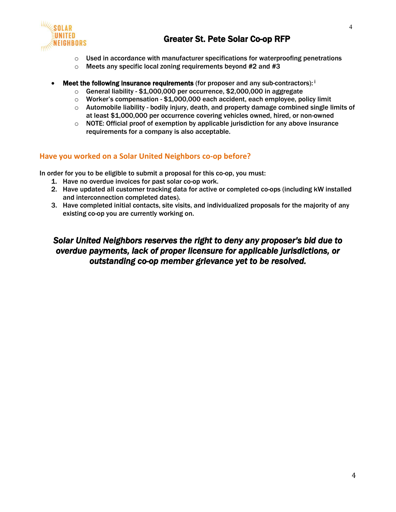

4

- $\circ$  Used in accordance with manufacturer specifications for waterproofing penetrations
- $\circ$  Meets any specific local zoning requirements beyond #2 and #3
- **Meet the following insurance requirements** (for proposer and any sub-contractors):  $\mathbf{i}$ 
	- $\circ$  General liability \$1,000,000 per occurrence, \$2,000,000 in aggregate
	- $\circ$  Worker's compensation \$1,000,000 each accident, each employee, policy limit
	- $\circ$  Automobile liability bodily injury, death, and property damage combined single limits of at least \$1,000,000 per occurrence covering vehicles owned, hired, or non-owned
	- $\circ$  NOTE: Official proof of exemption by applicable jurisdiction for any above insurance requirements for a company is also acceptable.

### **Have you worked on a Solar United Neighbors co-op before?**

In order for you to be eligible to submit a proposal for this co-op, you must:

- 1. Have no overdue invoices for past solar co-op work.
- 2. Have updated all customer tracking data for active or completed co-ops (including kW installed and interconnection completed dates).
- 3. Have completed initial contacts, site visits, and individualized proposals for the majority of any existing co-op you are currently working on.

# *Solar United Neighbors reserves the right to deny any proposer's bid due to overdue payments, lack of proper licensure for applicable jurisdictions, or outstanding co-op member grievance yet to be resolved.*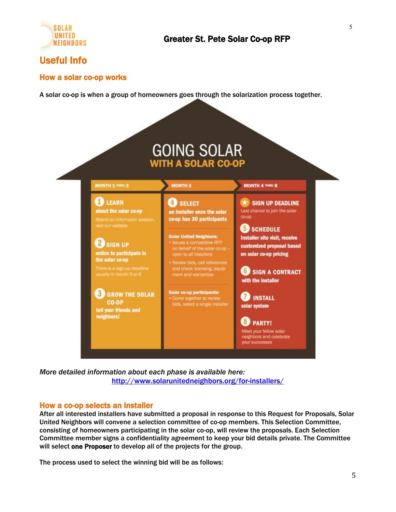

# Useful Info

### How a solar co-op works

A solar co-op is when a group of homeowners goes through the solarization process together.



*More detailed information about each phase is available here:* <http://www.solarunitedneighbors.org/for-installers/>

### How a co-op selects an installer

After all interested installers have submitted a proposal in response to this Request for Proposals, Solar United Neighbors will convene a selection committee of co-op members. This Selection Committee, consisting of homeowners participating in the solar co-op, will review the proposals. Each Selection Committee member signs a confidentiality agreement to keep your bid details private. The Committee will select one Proposer to develop all of the projects for the group.

The process used to select the winning bid will be as follows: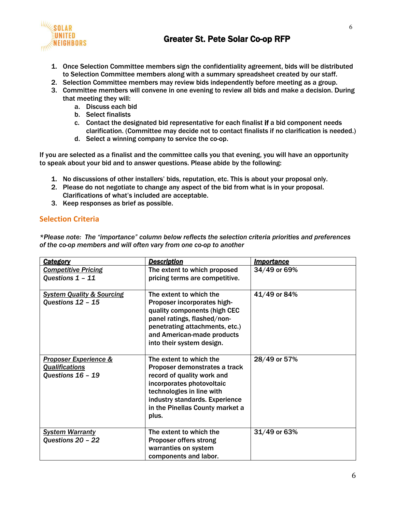

# Greater St. Pete Solar Co-op RFP

- 1. Once Selection Committee members sign the confidentiality agreement, bids will be distributed to Selection Committee members along with a summary spreadsheet created by our staff.
- 2. Selection Committee members may review bids independently before meeting as a group.
- 3. Committee members will convene in one evening to review all bids and make a decision. During that meeting they will:
	- a. Discuss each bid
	- b. Select finalists
	- c. Contact the designated bid representative for each finalist if a bid component needs clarification. (Committee may decide not to contact finalists if no clarification is needed.)
	- d. Select a winning company to service the co-op.

If you are selected as a finalist and the committee calls you that evening, you will have an opportunity to speak about your bid and to answer questions. Please abide by the following:

- 1. No discussions of other installers' bids, reputation, etc. This is about your proposal only.
- 2. Please do not negotiate to change any aspect of the bid from what is in your proposal. Clarifications of what's included are acceptable.
- 3. Keep responses as brief as possible.

### **Selection Criteria**

*\*Please note: The "importance" column below reflects the selection criteria priorities and preferences of the co-op members and will often vary from one co-op to another*

| <b>Category</b>                                                                | <b>Description</b>                                                                                                                                                                                                             | <b>Importance</b> |
|--------------------------------------------------------------------------------|--------------------------------------------------------------------------------------------------------------------------------------------------------------------------------------------------------------------------------|-------------------|
| <b>Competitive Pricing</b><br>Questions 1 - 11                                 | The extent to which proposed<br>pricing terms are competitive.                                                                                                                                                                 | 34/49 or 69%      |
| <b>System Quality &amp; Sourcing</b><br>Questions 12 - 15                      | The extent to which the<br>Proposer incorporates high-<br>quality components (high CEC<br>panel ratings, flashed/non-<br>penetrating attachments, etc.)<br>and American-made products<br>into their system design.             | 41/49 or 84%      |
| <b>Proposer Experience &amp;</b><br><b>Qualifications</b><br>Questions 16 - 19 | The extent to which the<br>Proposer demonstrates a track<br>record of quality work and<br>incorporates photovoltaic<br>technologies in line with<br>industry standards. Experience<br>in the Pinellas County market a<br>plus. | 28/49 or 57%      |
| <b>System Warranty</b><br>Questions 20 - 22                                    | The extent to which the<br><b>Proposer offers strong</b><br>warranties on system<br>components and labor.                                                                                                                      | 31/49 or 63%      |